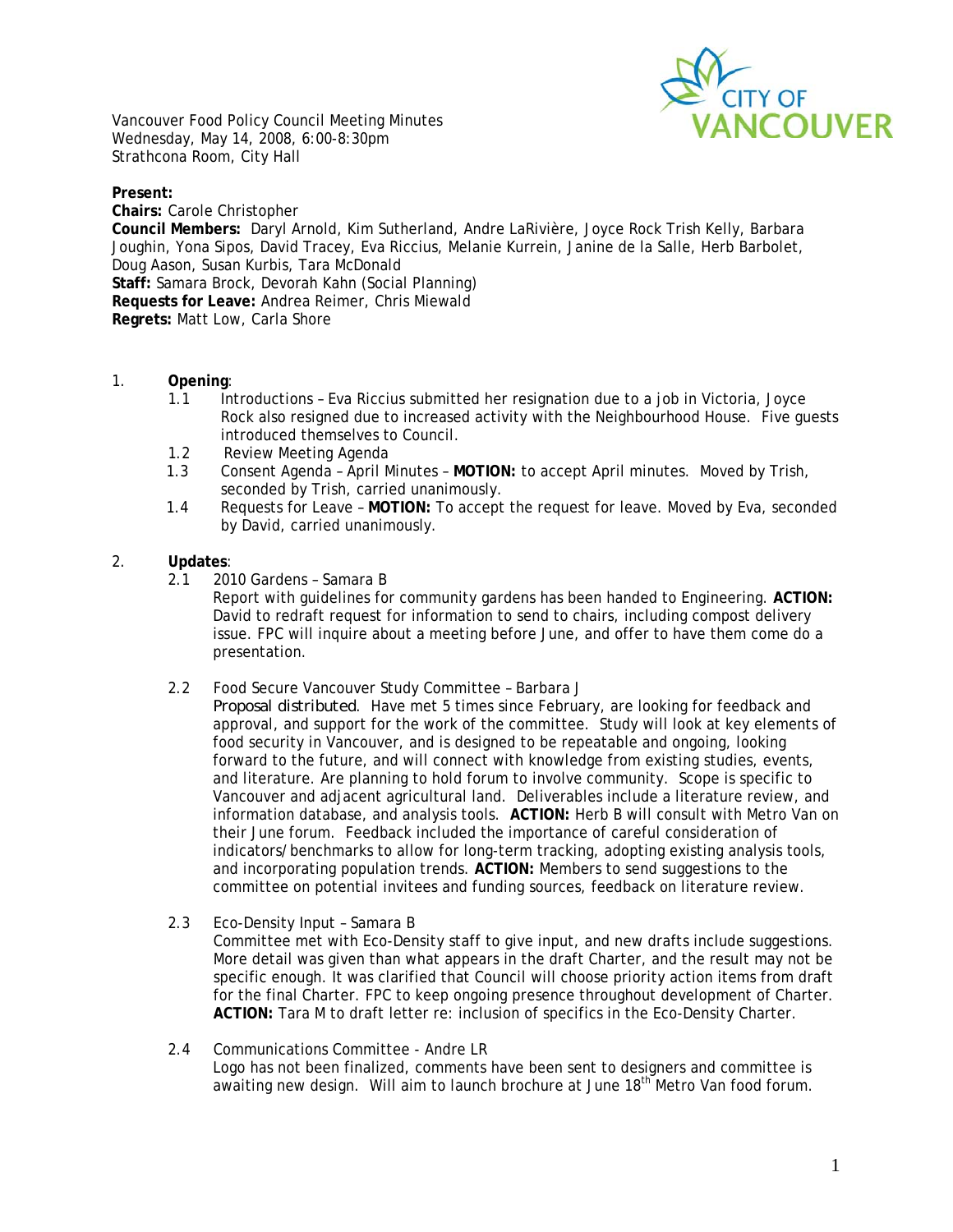

Vancouver Food Policy Council Meeting Minutes Wednesday, May 14, 2008, 6:00-8:30pm Strathcona Room, City Hall

**Present:** 

**Chairs:** Carole Christopher **Council Members:** Daryl Arnold, Kim Sutherland, Andre LaRivière, Joyce Rock Trish Kelly, Barbara Joughin, Yona Sipos, David Tracey, Eva Riccius, Melanie Kurrein, Janine de la Salle, Herb Barbolet, Doug Aason, Susan Kurbis, Tara McDonald **Staff:** Samara Brock, Devorah Kahn (Social Planning) **Requests for Leave:** Andrea Reimer, Chris Miewald **Regrets:** Matt Low, Carla Shore

- 1. **Opening**:
	- 1.1 Introductions Eva Riccius submitted her resignation due to a job in Victoria, Joyce Rock also resigned due to increased activity with the Neighbourhood House. Five guests introduced themselves to Council.
	- 1.2 Review Meeting Agenda
	- 1.3 Consent Agenda April Minutes **MOTION:** to accept April minutes. Moved by Trish, seconded by Trish, carried unanimously.
	- 1.4 Requests for Leave **MOTION:** To accept the request for leave. Moved by Eva, seconded by David, carried unanimously.

### 2. **Updates**:

2.1 2010 Gardens – Samara B

Report with guidelines for community gardens has been handed to Engineering. **ACTION:** David to redraft request for information to send to chairs, including compost delivery issue. FPC will inquire about a meeting before June, and offer to have them come do a presentation.

2.2 Food Secure Vancouver Study Committee – Barbara J

*Proposal distributed*. Have met 5 times since February, are looking for feedback and approval, and support for the work of the committee. Study will look at key elements of food security in Vancouver, and is designed to be repeatable and ongoing, looking forward to the future, and will connect with knowledge from existing studies, events, and literature. Are planning to hold forum to involve community. Scope is specific to Vancouver and adjacent agricultural land. Deliverables include a literature review, and information database, and analysis tools. **ACTION:** Herb B will consult with Metro Van on their June forum. Feedback included the importance of careful consideration of indicators/benchmarks to allow for long-term tracking, adopting existing analysis tools, and incorporating population trends. **ACTION:** Members to send suggestions to the committee on potential invitees and funding sources, feedback on literature review.

- 2.3 Eco-Density Input Samara B Committee met with Eco-Density staff to give input, and new drafts include suggestions. More detail was given than what appears in the draft Charter, and the result may not be specific enough. It was clarified that Council will choose priority action items from draft for the final Charter. FPC to keep ongoing presence throughout development of Charter. **ACTION:** Tara M to draft letter re: inclusion of specifics in the Eco-Density Charter.
- 2.4 Communications Committee Andre LR Logo has not been finalized, comments have been sent to designers and committee is awaiting new design. Will aim to launch brochure at June 18<sup>th</sup> Metro Van food forum.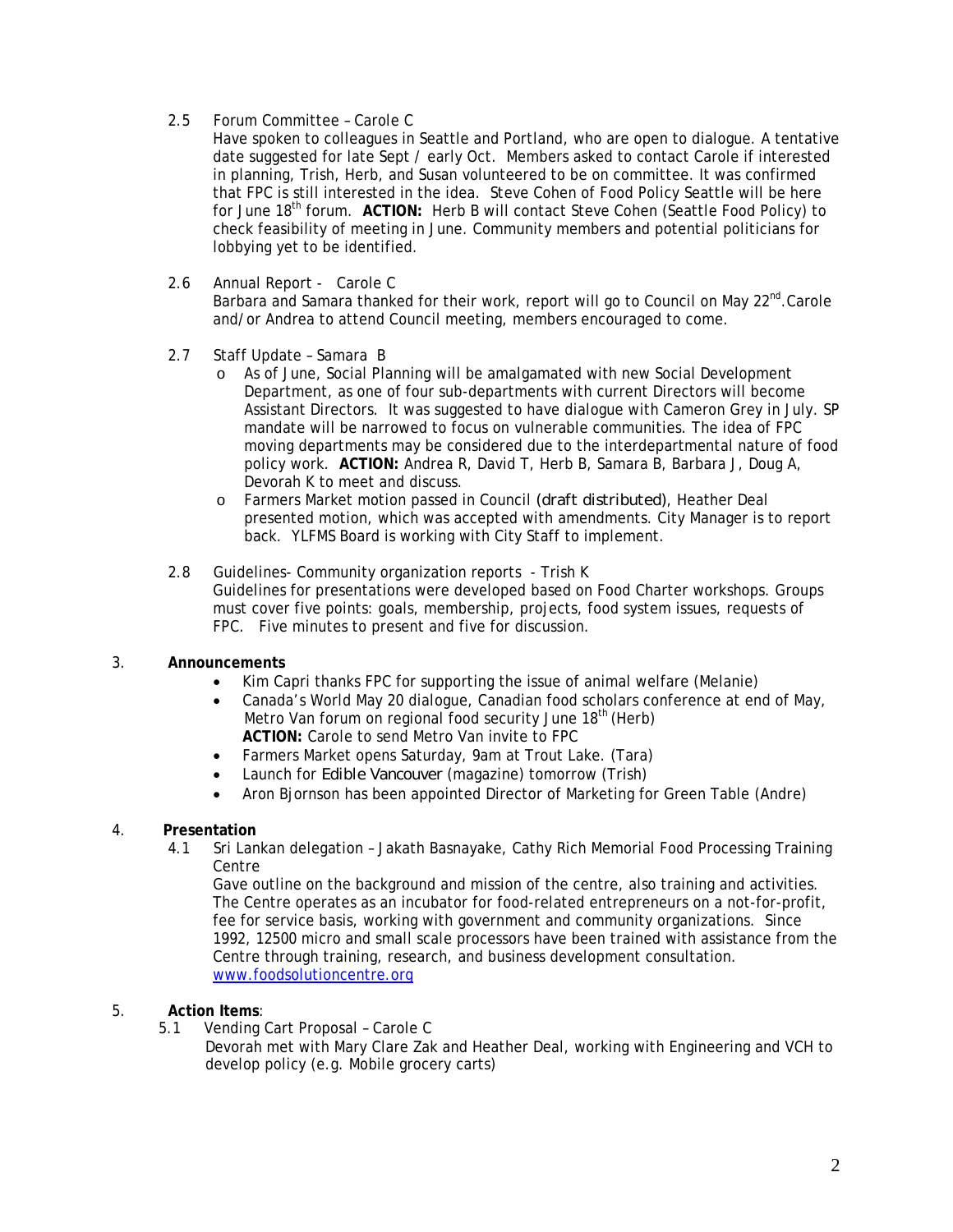2.5 Forum Committee – Carole C

Have spoken to colleagues in Seattle and Portland, who are open to dialogue. A tentative date suggested for late Sept / early Oct. Members asked to contact Carole if interested in planning, Trish, Herb, and Susan volunteered to be on committee. It was confirmed that FPC is still interested in the idea. Steve Cohen of Food Policy Seattle will be here for June 18th forum. **ACTION:** Herb B will contact Steve Cohen (Seattle Food Policy) to check feasibility of meeting in June. Community members and potential politicians for lobbying yet to be identified.

2.6 Annual Report - Carole C

Barbara and Samara thanked for their work, report will go to Council on May  $22^{nd}$ .Carole and/or Andrea to attend Council meeting, members encouraged to come.

- 2.7 Staff Update Samara B
	- o As of June, Social Planning will be amalgamated with new Social Development Department, as one of four sub-departments with current Directors will become Assistant Directors. It was suggested to have dialogue with Cameron Grey in July. SP mandate will be narrowed to focus on vulnerable communities. The idea of FPC moving departments may be considered due to the interdepartmental nature of food policy work. **ACTION:** Andrea R, David T, Herb B, Samara B, Barbara J, Doug A, Devorah K to meet and discuss.
	- o Farmers Market motion passed in Council *(draft distributed)*, Heather Deal presented motion, which was accepted with amendments. City Manager is to report back. YLFMS Board is working with City Staff to implement.
- 2.8 Guidelines- Community organization reports Trish K Guidelines for presentations were developed based on Food Charter workshops. Groups must cover five points: goals, membership, projects, food system issues, requests of FPC. Five minutes to present and five for discussion.

#### 3. **Announcements**

- Kim Capri thanks FPC for supporting the issue of animal welfare (Melanie)
- Canada's World May 20 dialogue, Canadian food scholars conference at end of May, Metro Van forum on regional food security June 18<sup>th</sup> (Herb)  **ACTION:** Carole to send Metro Van invite to FPC
- Farmers Market opens Saturday, 9am at Trout Lake. (Tara)
- Launch for *Edible Vancouver* (magazine) tomorrow (Trish)
- Aron Bjornson has been appointed Director of Marketing for Green Table (Andre)

#### 4. **Presentation**

4.1 Sri Lankan delegation – Jakath Basnayake, Cathy Rich Memorial Food Processing Training Centre

Gave outline on the background and mission of the centre, also training and activities. The Centre operates as an incubator for food-related entrepreneurs on a not-for-profit, fee for service basis, working with government and community organizations. Since 1992, 12500 micro and small scale processors have been trained with assistance from the Centre through training, research, and business development consultation. www.foodsolutioncentre.org

#### 5. **Action Items**:

 5.1 Vending Cart Proposal – Carole C Devorah met with Mary Clare Zak and Heather Deal, working with Engineering and VCH to develop policy (e.g. Mobile grocery carts)